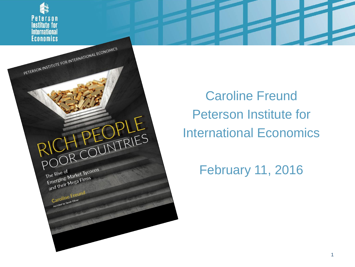

OH PEOPLE

The Rise of<br>Emerging-Market Tycoons<br>Emerging-Market Tycoons

The Rise Market IVCE<br>Emerging-Market IVCE<br>and their Mega Firms

Caroline Freund Caroline Tiver

The Rise of

Caroline Freund Peterson Institute for International Economics

February 11, 2016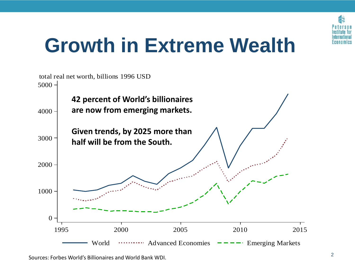

## **Growth in Extreme Wealth**

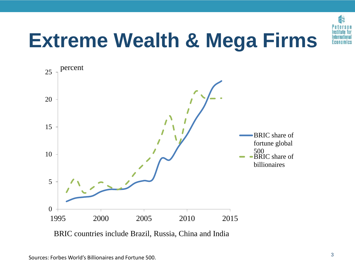

# **Extreme Wealth & Mega Firms**



BRIC countries include Brazil, Russia, China and India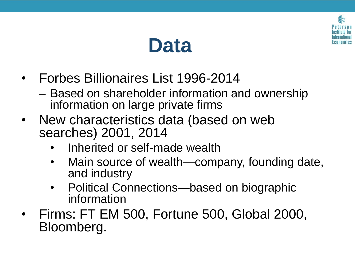

## **Data**

- Forbes Billionaires List 1996-2014
	- Based on shareholder information and ownership information on large private firms
- New characteristics data (based on web searches) 2001, 2014
	- Inherited or self-made wealth
	- Main source of wealth—company, founding date, and industry
	- Political Connections—based on biographic information
- Firms: FT EM 500, Fortune 500, Global 2000, Bloomberg.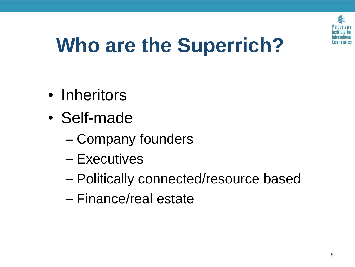

# **Who are the Superrich?**

- Inheritors
- Self-made
	- Company founders
	- Executives
	- Politically connected/resource based
	- Finance/real estate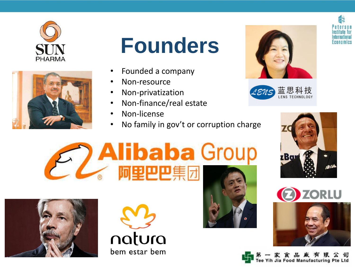

|  | $\mathbf{z}_l$ |  |
|--|----------------|--|

# **Founders**

- Founded a company
- Non-resource
- Non-privatization
- Non-finance/real estate

阿里巴巴集

- Non-license
- No family in gov't or corruption charge



















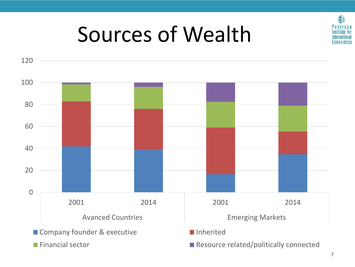

# Sources of Wealth

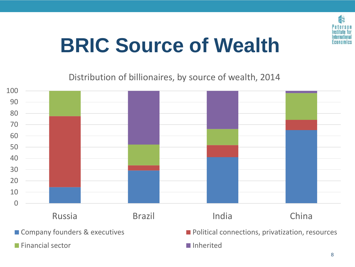

# **BRIC Source of Wealth**

Distribution of billionaires, by source of wealth, 2014



**Financial sector Inherited** 

■ Company founders & executives Political connections, privatization, resources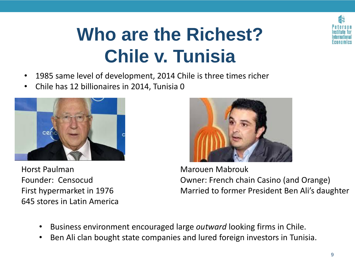

### **Who are the Richest? Chile v. Tunisia**

- 1985 same level of development, 2014 Chile is three times richer
- Chile has 12 billionaires in 2014, Tunisia 0



Horst Paulman Founder: Censocud First hypermarket in 1976 645 stores in Latin America



Marouen Mabrouk Owner: French chain Casino (and Orange) Married to former President Ben Ali's daughter

- Business environment encouraged large *outward* looking firms in Chile.
- Ben Ali clan bought state companies and lured foreign investors in Tunisia.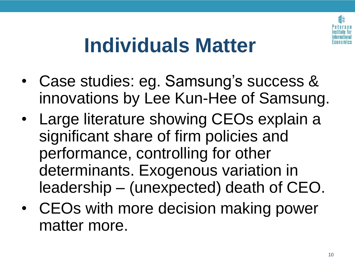

## **Individuals Matter**

- Case studies: eg. Samsung's success & innovations by Lee Kun-Hee of Samsung.
- Large literature showing CEOs explain a significant share of firm policies and performance, controlling for other determinants. Exogenous variation in leadership – (unexpected) death of CEO.
- CEOs with more decision making power matter more.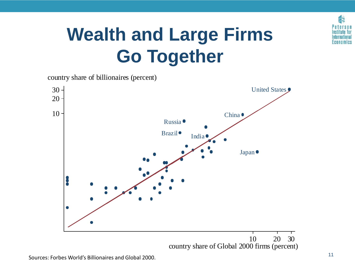

### **Wealth and Large Firms Go Together**

country share of billionaires (percent)

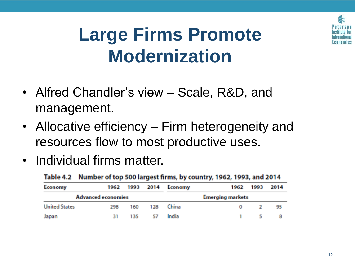

#### **Large Firms Promote Modernization**

- Alfred Chandler's view Scale, R&D, and management.
- Allocative efficiency Firm heterogeneity and resources flow to most productive uses.
- Individual firms matter.

| <b>Economy</b>            |     |     |    | 1962 1993 2014 Economy  | 1962     | 1993 | 2014 |
|---------------------------|-----|-----|----|-------------------------|----------|------|------|
| <b>Advanced economies</b> |     |     |    | <b>Emerging markets</b> |          |      |      |
| <b>United States</b>      | 298 | 160 |    | 128 China               | $\bf{o}$ |      | 95   |
| Japan                     | 31  | 135 | 57 | India                   |          |      |      |

#### Table 4.2 Number of top 500 largest firms, by country, 1962, 1993, and 2014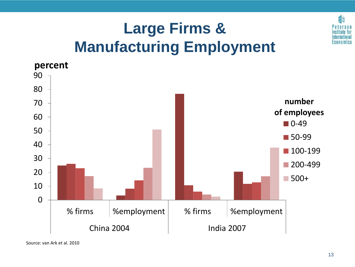

#### **Large Firms & Manufacturing Employment**



Source: van Ark et al. 2010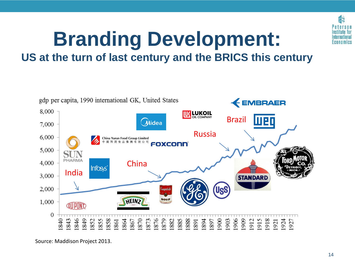

# **Branding Development:**

**US at the turn of last century and the BRICS this century**



Source: Maddison Project 2013.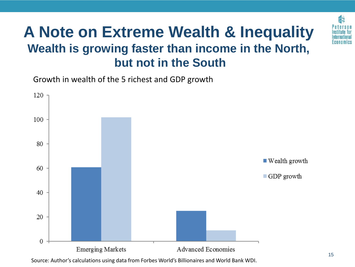#### **A Note on Extreme Wealth & Inequality Wealth is growing faster than income in the North, but not in the South**

Growth in wealth of the 5 richest and GDP growth



Source: Author's calculations using data from Forbes World's Billionaires and World Bank WDI.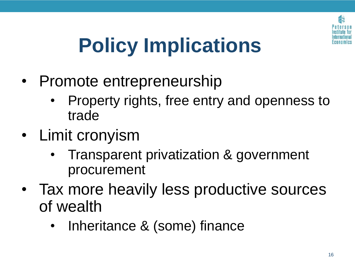

# **Policy Implications**

- Promote entrepreneurship
	- Property rights, free entry and openness to trade
- Limit cronyism
	- Transparent privatization & government procurement
- Tax more heavily less productive sources of wealth
	- Inheritance & (some) finance